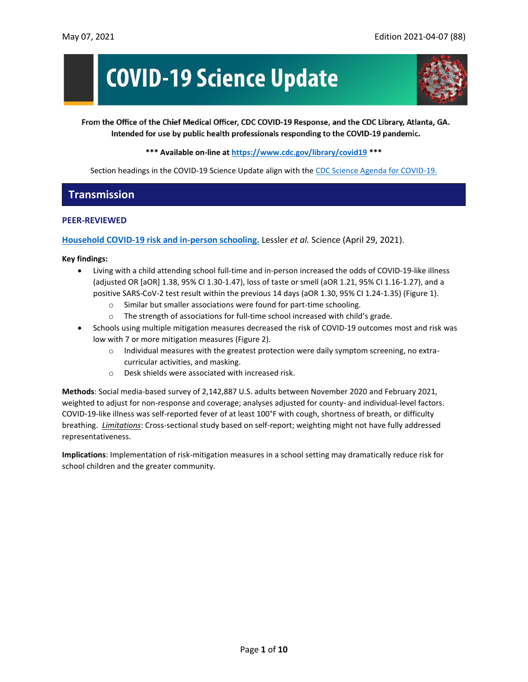# **COVID-19 Science Update**



From the Office of the Chief Medical Officer, CDC COVID-19 Response, and the CDC Library, Atlanta, GA. Intended for use by public health professionals responding to the COVID-19 pandemic.

**\*\*\* Available on-line at<https://www.cdc.gov/library/covid19> \*\*\***

Section headings in the COVID-19 Science Update align with the [CDC Science Agenda for COVID-19.](https://www.cdc.gov/coronavirus/2019-ncov/more/science-agenda-covid19.html)

# **Transmission**

#### **PEER-REVIEWED**

**[Household COVID-19 risk and in-person schooling.](https://science.sciencemag.org/content/early/2021/04/28/science.abh2939)** Lessler *et al.* Science (April 29, 2021).

#### **Key findings:**

- Living with a child attending school full-time and in-person increased the odds of COVID-19-like illness (adjusted OR [aOR] 1.38, 95% CI 1.30-1.47), loss of taste or smell (aOR 1.21, 95% CI 1.16-1.27), and a positive SARS-CoV-2 test result within the previous 14 days (aOR 1.30, 95% CI 1.24-1.35) (Figure 1).
	- o Similar but smaller associations were found for part-time schooling.
	- o The strength of associations for full-time school increased with child's grade.
- Schools using multiple mitigation measures decreased the risk of COVID-19 outcomes most and risk was low with 7 or more mitigation measures (Figure 2).
	- o Individual measures with the greatest protection were daily symptom screening, no extracurricular activities, and masking.
	- o Desk shields were associated with increased risk.

**Methods**: Social media-based survey of 2,142,887 U.S. adults between November 2020 and February 2021, weighted to adjust for non-response and coverage; analyses adjusted for county- and individual-level factors. COVID-19-like illness was self-reported fever of at least 100°F with cough, shortness of breath, or difficulty breathing. *Limitations*: Cross-sectional study based on self-report; weighting might not have fully addressed representativeness.

**Implications**: Implementation of risk-mitigation measures in a school setting may dramatically reduce risk for school children and the greater community.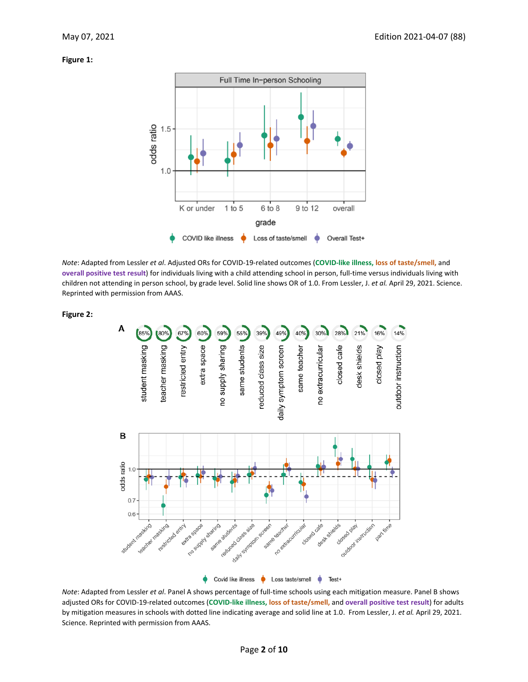#### **Figure 1:**

**Figure 2:**



*Note*: Adapted from Lessler *et al*. Adjusted ORs for COVID-19-related outcomes (**COVID-like illness, loss of taste/smell,** and **overall positive test result**) for individuals living with a child attending school in person, full-time versus individuals living with children not attending in person school, by grade level. Solid line shows OR of 1.0. From Lessler, J. *et al.* April 29, 2021. Science. Reprinted with permission from AAAS.



*Note*: Adapted from Lessler *et al*. Panel A shows percentage of full-time schools using each mitigation measure. Panel B shows adjusted ORs for COVID-19-related outcomes (**COVID-like illness, loss of taste/smell,** and **overall positive test result**) for adults by mitigation measures in schools with dotted line indicating average and solid line at 1.0. From Lessler, J. *et al.* April 29, 2021. Science. Reprinted with permission from AAAS.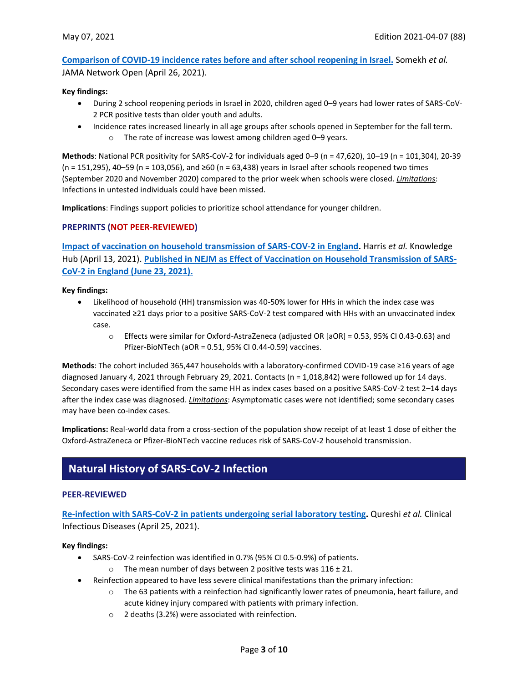**[Comparison of COVID-19 incidence rates before and](https://jamanetwork.com/journals/jamanetworkopen/fullarticle/2778940?resultClick=1) after school reopening in Israel.** Somekh *et al.* JAMA Network Open (April 26, 2021).

#### **Key findings:**

- During 2 school reopening periods in Israel in 2020, children aged 0–9 years had lower rates of SARS-CoV-2 PCR positive tests than older youth and adults.
- Incidence rates increased linearly in all age groups after schools opened in September for the fall term. o The rate of increase was lowest among children aged 0–9 years.

**Methods**: National PCR positivity for SARS-CoV-2 for individuals aged 0–9 (n = 47,620), 10–19 (n = 101,304), 20-39 (n = 151,295), 40–59 (n = 103,056), and ≥60 (n = 63,438) years in Israel after schools reopened two times (September 2020 and November 2020) compared to the prior week when schools were closed. *Limitations*: Infections in untested individuals could have been missed.

**Implications**: Findings support policies to prioritize school attendance for younger children.

#### **PREPRINTS (NOT PEER-REVIEWED)**

**[Impact of vaccination on household transmission of SARS-COV-2 in England.](https://khub.net/documents/135939561/390853656/Impact+of+vaccination+on+household+transmission+of+SARS-COV-2+in+England.pdf/35bf4bb1-6ade-d3eb-a39e-9c9b25a8122a?t=1619601878136)** Harris *et al.* Knowledge Hub (April 13, 2021). **[Published in NEJM as Effect of Vaccination on Household Transmission of SARS-](https://www.nejm.org/doi/full/10.1056/nejmc2107717)[CoV-2 in England \(June 23, 2021\).](https://www.nejm.org/doi/full/10.1056/nejmc2107717)**

**Key findings:**

- Likelihood of household (HH) transmission was 40-50% lower for HHs in which the index case was vaccinated ≥21 days prior to a positive SARS-CoV-2 test compared with HHs with an unvaccinated index case.
	- o Effects were similar for Oxford-AstraZeneca (adjusted OR [aOR] = 0.53, 95% CI 0.43-0.63) and Pfizer-BioNTech (aOR = 0.51, 95% CI 0.44-0.59) vaccines.

**Methods**: The cohort included 365,447 households with a laboratory-confirmed COVID-19 case ≥16 years of age diagnosed January 4, 2021 through February 29, 2021. Contacts (n = 1,018,842) were followed up for 14 days. Secondary cases were identified from the same HH as index cases based on a positive SARS-CoV-2 test 2–14 days after the index case was diagnosed. *Limitations*: Asymptomatic cases were not identified; some secondary cases may have been co-index cases.

**Implications:** Real-world data from a cross-section of the population show receipt of at least 1 dose of either the Oxford-AstraZeneca or Pfizer-BioNTech vaccine reduces risk of SARS-CoV-2 household transmission.

# **Natural History of SARS-CoV-2 Infection**

#### **PEER-REVIEWED**

**[Re-infection with SARS-CoV-2 in patients undergoing serial laboratory testing.](https://academic.oup.com/cid/advance-article/doi/10.1093/cid/ciab345/6251701)** Qureshi *et al.* Clinical Infectious Diseases (April 25, 2021).

#### **Key findings:**

- SARS-CoV-2 reinfection was identified in 0.7% (95% CI 0.5-0.9%) of patients.
	- o The mean number of days between 2 positive tests was  $116 \pm 21$ .
- Reinfection appeared to have less severe clinical manifestations than the primary infection:
	- $\circ$  The 63 patients with a reinfection had significantly lower rates of pneumonia, heart failure, and acute kidney injury compared with patients with primary infection.
	- o 2 deaths (3.2%) were associated with reinfection.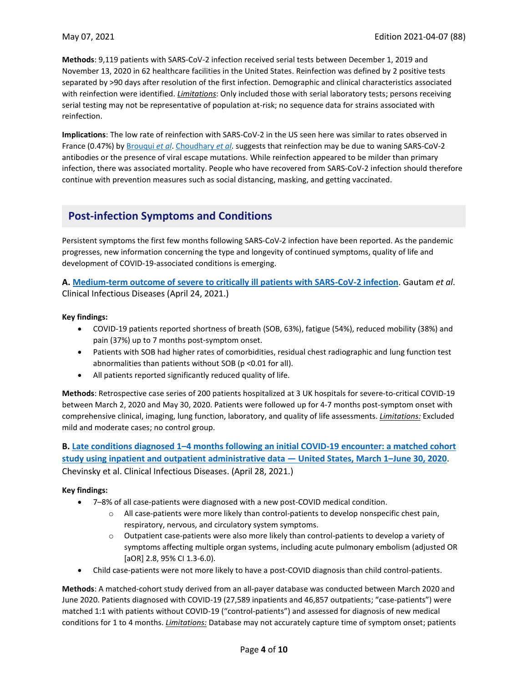**Methods**: 9,119 patients with SARS-CoV-2 infection received serial tests between December 1, 2019 and November 13, 2020 in 62 healthcare facilities in the United States. Reinfection was defined by 2 positive tests separated by >90 days after resolution of the first infection. Demographic and clinical characteristics associated with reinfection were identified. *Limitations*: Only included those with serial laboratory tests; persons receiving serial testing may not be representative of population at-risk; no sequence data for strains associated with reinfection.

**Implications**: The low rate of reinfection with SARS-CoV-2 in the US seen here was similar to rates observed in France (0.47%) by [Brouqui](https://onlinelibrary.wiley.com/doi/10.1111/eci.13537) *et al*. [Choudhary](https://academic.oup.com/cid/advance-article/doi/10.1093/cid/ciab380/6255966) *et al*. suggests that reinfection may be due to waning SARS-CoV-2 antibodies or the presence of viral escape mutations. While reinfection appeared to be milder than primary infection, there was associated mortality. People who have recovered from SARS-CoV-2 infection should therefore continue with prevention measures such as social distancing, masking, and getting vaccinated.

# **Post-infection Symptoms and Conditions**

Persistent symptoms the first few months following SARS-CoV-2 infection have been reported. As the pandemic progresses, new information concerning the type and longevity of continued symptoms, quality of life and development of COVID-19-associated conditions is emerging.

**A. [Medium-term outcome of severe to critically ill patients with SARS-CoV-2 infection](https://academic.oup.com/cid/advance-article/doi/10.1093/cid/ciab341/6248543)**. Gautam *et al*. Clinical Infectious Diseases (April 24, 2021.)

#### **Key findings:**

- COVID-19 patients reported shortness of breath (SOB, 63%), fatigue (54%), reduced mobility (38%) and pain (37%) up to 7 months post-symptom onset.
- Patients with SOB had higher rates of comorbidities, residual chest radiographic and lung function test abnormalities than patients without SOB (p <0.01 for all).
- All patients reported significantly reduced quality of life.

**Methods**: Retrospective case series of 200 patients hospitalized at 3 UK hospitals for severe-to-critical COVID-19 between March 2, 2020 and May 30, 2020. Patients were followed up for 4-7 months post-symptom onset with comprehensive clinical, imaging, lung function, laboratory, and quality of life assessments. *Limitations:* Excluded mild and moderate cases; no control group.

**B. Late conditions diagnosed 1–[4 months following an initial COVID-19 encounter: a matched cohort](https://academic.oup.com/cid/advance-article/doi/10.1093/cid/ciab338/6257082)  [study using inpatient and outpatient administrative data](https://academic.oup.com/cid/advance-article/doi/10.1093/cid/ciab338/6257082) — United States, March 1–June 30, 2020**. Chevinsky et al. Clinical Infectious Diseases. (April 28, 2021.)

#### **Key findings:**

- 7–8% of all case-patients were diagnosed with a new post-COVID medical condition.
	- $\circ$  All case-patients were more likely than control-patients to develop nonspecific chest pain, respiratory, nervous, and circulatory system symptoms.
	- o Outpatient case-patients were also more likely than control-patients to develop a variety of symptoms affecting multiple organ systems, including acute pulmonary embolism (adjusted OR [aOR] 2.8, 95% CI 1.3-6.0).
- Child case-patients were not more likely to have a post-COVID diagnosis than child control-patients.

**Methods**: A matched-cohort study derived from an all-payer database was conducted between March 2020 and June 2020. Patients diagnosed with COVID-19 (27,589 inpatients and 46,857 outpatients; "case-patients") were matched 1:1 with patients without COVID-19 ("control-patients") and assessed for diagnosis of new medical conditions for 1 to 4 months. *Limitations:* Database may not accurately capture time of symptom onset; patients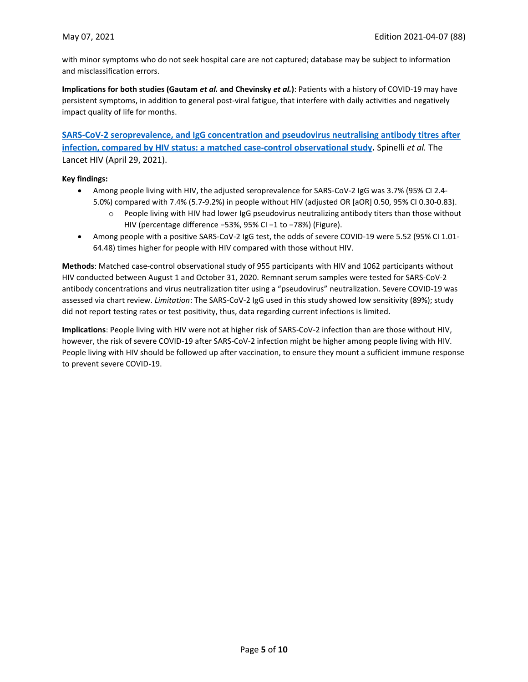with minor symptoms who do not seek hospital care are not captured; database may be subject to information and misclassification errors.

**Implications for both studies (Gautam** *et al.* **and Chevinsky** *et al.***)**: Patients with a history of COVID-19 may have persistent symptoms, in addition to general post-viral fatigue, that interfere with daily activities and negatively impact quality of life for months.

**[SARS-CoV-2 seroprevalence, and IgG concentration and pseudovirus neutralising antibody titres after](https://www.thelancet.com/journals/lanhiv/article/PIIS2352-3018(21)00072-2/fulltext)  [infection, compared by HIV status: a matched case-control observational study.](https://www.thelancet.com/journals/lanhiv/article/PIIS2352-3018(21)00072-2/fulltext)** Spinelli *et al.* The Lancet HIV (April 29, 2021).

#### **Key findings:**

- Among people living with HIV, the adjusted seroprevalence for SARS-CoV-2 IgG was 3.7% (95% CI 2.4- 5.0%) compared with 7.4% (5.7-9.2%) in people without HIV (adjusted OR [aOR] 0.50, 95% CI 0.30-0.83).
	- o People living with HIV had lower IgG pseudovirus neutralizing antibody titers than those without HIV (percentage difference −53%, 95% CI −1 to −78%) (Figure).
- Among people with a positive SARS-CoV-2 IgG test, the odds of severe COVID-19 were 5.52 (95% CI 1.01- 64.48) times higher for people with HIV compared with those without HIV.

**Methods**: Matched case-control observational study of 955 participants with HIV and 1062 participants without HIV conducted between August 1 and October 31, 2020. Remnant serum samples were tested for SARS-CoV-2 antibody concentrations and virus neutralization titer using a "pseudovirus" neutralization. Severe COVID-19 was assessed via chart review. *Limitation*: The SARS-CoV-2 IgG used in this study showed low sensitivity (89%); study did not report testing rates or test positivity, thus, data regarding current infections is limited.

**Implications**: People living with HIV were not at higher risk of SARS-CoV-2 infection than are those without HIV, however, the risk of severe COVID-19 after SARS-CoV-2 infection might be higher among people living with HIV. People living with HIV should be followed up after vaccination, to ensure they mount a sufficient immune response to prevent severe COVID-19.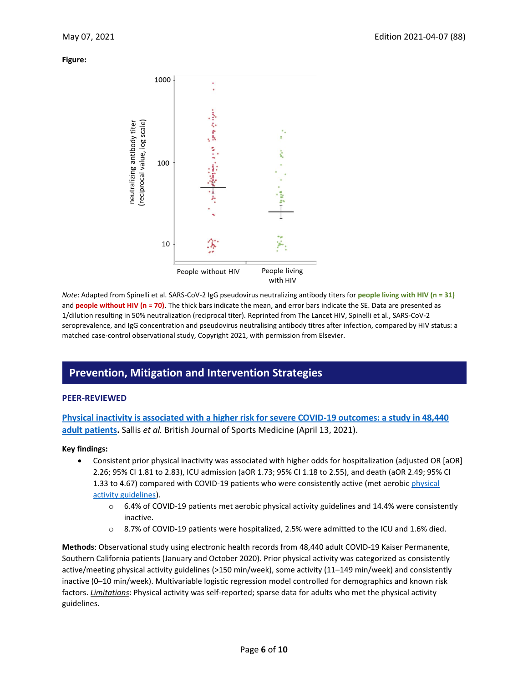**Figure:**



*Note*: Adapted from Spinelli et al. SARS-CoV-2 IgG pseudovirus neutralizing antibody titers for **people living with HIV (n = 31)** and **people without HIV (n = 70)**. The thick bars indicate the mean, and error bars indicate the SE. Data are presented as 1/dilution resulting in 50% neutralization (reciprocal titer). Reprinted from The Lancet HIV, Spinelli et al., SARS-CoV-2 seroprevalence, and IgG concentration and pseudovirus neutralising antibody titres after infection, compared by HIV status: a matched case-control observational study, Copyright 2021, with permission from Elsevier.

# **Prevention, Mitigation and Intervention Strategies**

#### **PEER-REVIEWED**

**[Physical inactivity is associated with a higher risk for severe COVID-19 outcomes: a study in 48,440](https://bjsm.bmj.com/content/early/2021/04/07/bjsports-2021-104080)  [adult patients.](https://bjsm.bmj.com/content/early/2021/04/07/bjsports-2021-104080)** Sallis *et al.* British Journal of Sports Medicine (April 13, 2021).

#### **Key findings:**

- Consistent prior physical inactivity was associated with higher odds for hospitalization (adjusted OR [aOR] 2.26; 95% CI 1.81 to 2.83), ICU admission (aOR 1.73; 95% CI 1.18 to 2.55), and death (aOR 2.49; 95% CI 1.33 to 4.67) compared with COVID-19 patients who were consistently active (met aerobic physical [activity guidelines\)](https://health.gov/our-work/physical-activity/current-guidelines).
	- o 6.4% of COVID-19 patients met aerobic physical activity guidelines and 14.4% were consistently inactive.
	- o 8.7% of COVID-19 patients were hospitalized, 2.5% were admitted to the ICU and 1.6% died.

**Methods**: Observational study using electronic health records from 48,440 adult COVID-19 Kaiser Permanente, Southern California patients (January and October 2020). Prior physical activity was categorized as consistently active/meeting physical activity guidelines (>150 min/week), some activity (11–149 min/week) and consistently inactive (0–10 min/week). Multivariable logistic regression model controlled for demographics and known risk factors. *Limitations*: Physical activity was self-reported; sparse data for adults who met the physical activity guidelines.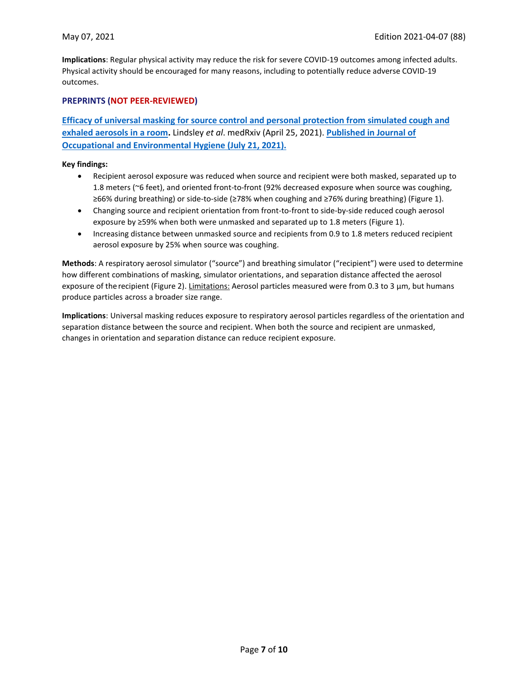**Implications**: Regular physical activity may reduce the risk for severe COVID-19 outcomes among infected adults. Physical activity should be encouraged for many reasons, including to potentially reduce adverse COVID-19 outcomes.

#### **PREPRINTS (NOT PEER-REVIEWED)**

**[Efficacy of universal masking for source control and personal protection from simulated cough and](https://www.medrxiv.org/content/10.1101/2021.04.21.21255880v1)  [exhaled aerosols in a room.](https://www.medrxiv.org/content/10.1101/2021.04.21.21255880v1)** Lindsley *et al*. medRxiv (April 25, 2021). **[Published in Journal of](https://doi.org/10.1080/15459624.2021.1939879)  [Occupational and Environmental Hygiene \(July 21, 2021\).](https://doi.org/10.1080/15459624.2021.1939879)**

#### **Key findings:**

- Recipient aerosol exposure was reduced when source and recipient were both masked, separated up to 1.8 meters (~6 feet), and oriented front-to-front (92% decreased exposure when source was coughing, ≥66% during breathing) or side-to-side (≥78% when coughing and ≥76% during breathing) (Figure 1).
- Changing source and recipient orientation from front-to-front to side-by-side reduced cough aerosol exposure by ≥59% when both were unmasked and separated up to 1.8 meters (Figure 1).
- Increasing distance between unmasked source and recipients from 0.9 to 1.8 meters reduced recipient aerosol exposure by 25% when source was coughing.

**Methods**: A respiratory aerosol simulator ("source") and breathing simulator ("recipient") were used to determine how different combinations of masking, simulator orientations, and separation distance affected the aerosol exposure of the recipient (Figure 2). Limitations: Aerosol particles measured were from 0.3 to 3 μm, but humans produce particles across a broader size range.

**Implications**: Universal masking reduces exposure to respiratory aerosol particles regardless of the orientation and separation distance between the source and recipient. When both the source and recipient are unmasked, changes in orientation and separation distance can reduce recipient exposure.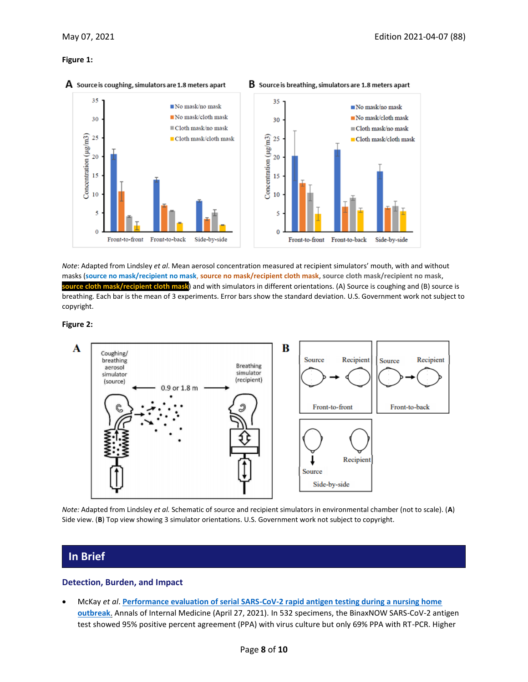#### **Figure 1:**



#### $\mathbf A$  Source is coughing, simulators are 1.8 meters apart

*Note*: Adapted from Lindsley *et al*. Mean aerosol concentration measured at recipient simulators' mouth, with and without masks (**source no mask/recipient no mask**, **source no mask/recipient cloth mask**, **source cloth mask/recipient no mask**, **source cloth mask/recipient cloth mask**) and with simulators in different orientations. (A) Source is coughing and (B) source is breathing. Each bar is the mean of 3 experiments. Error bars show the standard deviation. U.S. Government work not subject to copyright.

#### **Figure 2:**



*Note:* Adapted from Lindsley *et al.* Schematic of source and recipient simulators in environmental chamber (not to scale). (**A**) Side view. (**B**) Top view showing 3 simulator orientations. U.S. Government work not subject to copyright.

### **In Brief**

#### **Detection, Burden, and Impact**

• McKay *et al*. **[Performance evaluation of serial SARS-CoV-2 rapid antigen testing during a nursing home](https://www.acpjournals.org/doi/10.7326/M21-0422)  [outbreak](https://www.acpjournals.org/doi/10.7326/M21-0422)**. Annals of Internal Medicine (April 27, 2021). In 532 specimens, the BinaxNOW SARS-CoV-2 antigen test showed 95% positive percent agreement (PPA) with virus culture but only 69% PPA with RT-PCR. Higher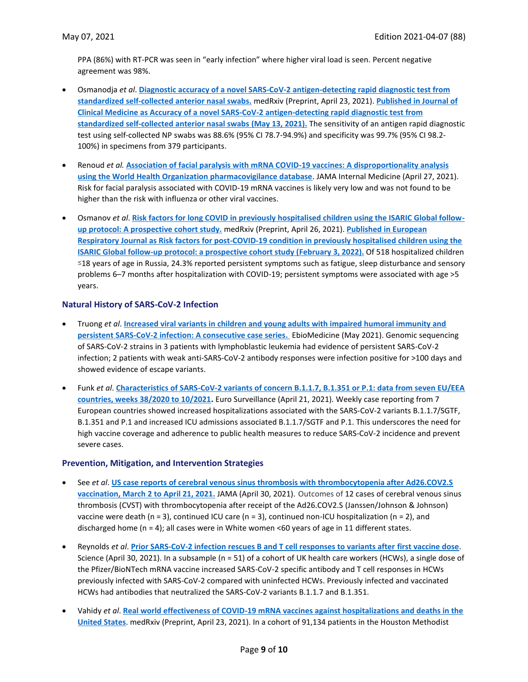PPA (86%) with RT-PCR was seen in "early infection" where higher viral load is seen. Percent negative agreement was 98%.

- Osmanodja *et al*. **[Diagnostic accuracy of a novel SARS-CoV-2 antigen-detecting rapid diagnostic test from](https://www.medrxiv.org/content/10.1101/2021.04.20.21255797v1)  [standardized self-collected anterior nasal swabs.](https://www.medrxiv.org/content/10.1101/2021.04.20.21255797v1)** medRxiv (Preprint, April 23, 2021). **[Published in Journal of](https://doi.org/10.3390/jcm10102099)  [Clinical Medicine as Accuracy of a novel SARS-CoV-2 antigen-detecting rapid diagnostic test from](https://doi.org/10.3390/jcm10102099)  [standardized self-collected anterior nasal swabs](https://doi.org/10.3390/jcm10102099) (May 13, 2021).** The sensitivity of an antigen rapid diagnostic test using self-collected NP swabs was 88.6% (95% CI 78.7-94.9%) and specificity was 99.7% (95% CI 98.2- 100%) in specimens from 379 participants.
- Renoud *et al.* **[Association of facial paralysis with mRNA COVID-19 vaccines: A disproportionality analysis](https://jamanetwork.com/journals/jamainternalmedicine/fullarticle/2779389)  [using the World Health Organization pharmacovigilance database](https://jamanetwork.com/journals/jamainternalmedicine/fullarticle/2779389)**. JAMA Internal Medicine (April 27, 2021). Risk for facial paralysis associated with COVID-19 mRNA vaccines is likely very low and was not found to be higher than the risk with influenza or other viral vaccines.
- Osmanov *et al*. **[Risk factors for long COVID in previously hospitalised children using the ISARIC Global follow](https://www.medrxiv.org/content/10.1101/2021.04.26.21256110v1)[up protocol: A prospective cohort study.](https://www.medrxiv.org/content/10.1101/2021.04.26.21256110v1)** medRxiv (Preprint, April 26, 2021). **[Published in](https://erj.ersjournals.com/content/59/2/2101341) European [Respiratory Journal as Risk factors for post-COVID-19 condition in previously hospitalised children using the](https://erj.ersjournals.com/content/59/2/2101341)  [ISARIC Global follow-up protocol: a prospective cohort study \(February 3, 2022\).](https://erj.ersjournals.com/content/59/2/2101341)** Of 518 hospitalized children ≤18 years of age in Russia, 24.3% reported persistent symptoms such as fatigue, sleep disturbance and sensory problems 6–7 months after hospitalization with COVID-19; persistent symptoms were associated with age >5 years.

#### **Natural History of SARS-CoV-2 Infection**

- Truong *et al*. **[Increased viral variants in children and young adults with impaired humoral immunity and](https://www.sciencedirect.com/science/article/pii/S2352396421001481?via%3Dihub)  [persistent SARS-CoV-2 infection: A consecutive case series.](https://www.sciencedirect.com/science/article/pii/S2352396421001481?via%3Dihub)** EbioMedicine (May 2021). Genomic sequencing of SARS-CoV-2 strains in 3 patients with lymphoblastic leukemia had evidence of persistent SARS-CoV-2 infection; 2 patients with weak anti-SARS-CoV-2 antibody responses were infection positive for >100 days and showed evidence of escape variants.
- Funk *et al*. **[Characteristics of SARS-CoV-2 variants of concern B.1.1.7, B.1.351 or P.1: data from seven EU/EEA](https://www.eurosurveillance.org/content/10.2807/1560-7917.ES.2021.26.16.2100348)  [countries, weeks 38/2020 to 10/2021.](https://www.eurosurveillance.org/content/10.2807/1560-7917.ES.2021.26.16.2100348)** Euro Surveillance (April 21, 2021). Weekly case reporting from 7 European countries showed increased hospitalizations associated with the SARS-CoV-2 variants B.1.1.7/SGTF, B.1.351 and P.1 and increased ICU admissions associated B.1.1.7/SGTF and P.1. This underscores the need for high vaccine coverage and adherence to public health measures to reduce SARS-CoV-2 incidence and prevent severe cases.

#### **Prevention, Mitigation, and Intervention Strategies**

- See *et al*. **US [case reports of cerebral venous sinus thrombosis with thrombocytopenia after Ad26.COV2.S](https://jamanetwork.com/journals/jama/fullarticle/2779731?resultClick=1)  [vaccination, March 2 to April 21, 2021.](https://jamanetwork.com/journals/jama/fullarticle/2779731?resultClick=1)** JAMA (April 30, 2021). Outcomes of 12 cases of cerebral venous sinus thrombosis (CVST) with thrombocytopenia after receipt of the Ad26.COV2.S (Janssen/Johnson & Johnson) vaccine were death ( $n = 3$ ), continued ICU care ( $n = 3$ ), continued non-ICU hospitalization ( $n = 2$ ), and discharged home (n = 4); all cases were in White women <60 years of age in 11 different states.
- Reynolds *et al*. **[Prior SARS-CoV-2 infection rescues B and T cell responses to variants after](https://science.sciencemag.org/content/early/2021/04/29/science.abh1282) first vaccine dose**. Science (April 30, 2021). In a subsample (n = 51) of a cohort of UK health care workers (HCWs), a single dose of the Pfizer/BioNTech mRNA vaccine increased SARS-CoV-2 specific antibody and T cell responses in HCWs previously infected with SARS-CoV-2 compared with uninfected HCWs. Previously infected and vaccinated HCWs had antibodies that neutralized the SARS-CoV-2 variants B.1.1.7 and B.1.351.
- Vahidy *et al*. **[Real world effectiveness of COVID-19 mRNA vaccines against hospitalizations and deaths in the](https://www.medrxiv.org/content/10.1101/2021.04.21.21255873v1)  [United States](https://www.medrxiv.org/content/10.1101/2021.04.21.21255873v1)**. medRxiv (Preprint, April 23, 2021). In a cohort of 91,134 patients in the Houston Methodist